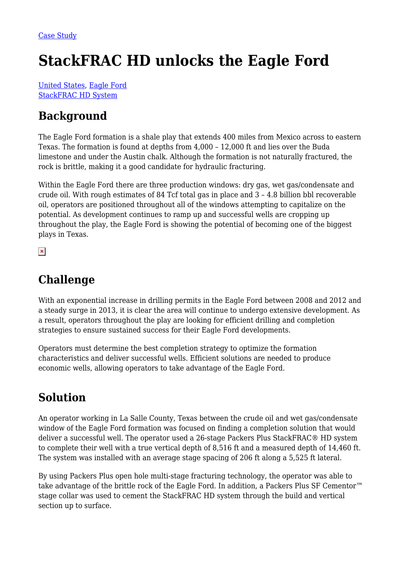# **StackFRAC HD unlocks the Eagle Ford**

[United States](https://packersplus.com/proven-performance/?region=united-states#listing), [Eagle Ford](https://packersplus.com/proven-performance/?formation=eagle-ford#listing) [StackFRAC HD System](https://packersplus.com/proven-performance/?system=stackfrac-hd-system#listing)

## **Background**

The Eagle Ford formation is a shale play that extends 400 miles from Mexico across to eastern Texas. The formation is found at depths from 4,000 – 12,000 ft and lies over the Buda limestone and under the Austin chalk. Although the formation is not naturally fractured, the rock is brittle, making it a good candidate for hydraulic fracturing.

Within the Eagle Ford there are three production windows: dry gas, wet gas/condensate and crude oil. With rough estimates of 84 Tcf total gas in place and 3 – 4.8 billion bbl recoverable oil, operators are positioned throughout all of the windows attempting to capitalize on the potential. As development continues to ramp up and successful wells are cropping up throughout the play, the Eagle Ford is showing the potential of becoming one of the biggest plays in Texas.

 $\pmb{\times}$ 

#### **Challenge**

With an exponential increase in drilling permits in the Eagle Ford between 2008 and 2012 and a steady surge in 2013, it is clear the area will continue to undergo extensive development. As a result, operators throughout the play are looking for efficient drilling and completion strategies to ensure sustained success for their Eagle Ford developments.

Operators must determine the best completion strategy to optimize the formation characteristics and deliver successful wells. Efficient solutions are needed to produce economic wells, allowing operators to take advantage of the Eagle Ford.

## **Solution**

An operator working in La Salle County, Texas between the crude oil and wet gas/condensate window of the Eagle Ford formation was focused on finding a completion solution that would deliver a successful well. The operator used a 26-stage Packers Plus StackFRAC® HD system to complete their well with a true vertical depth of 8,516 ft and a measured depth of 14,460 ft. The system was installed with an average stage spacing of 206 ft along a 5,525 ft lateral.

By using Packers Plus open hole multi-stage fracturing technology, the operator was able to take advantage of the brittle rock of the Eagle Ford. In addition, a Packers Plus SF Cementor™ stage collar was used to cement the StackFRAC HD system through the build and vertical section up to surface.